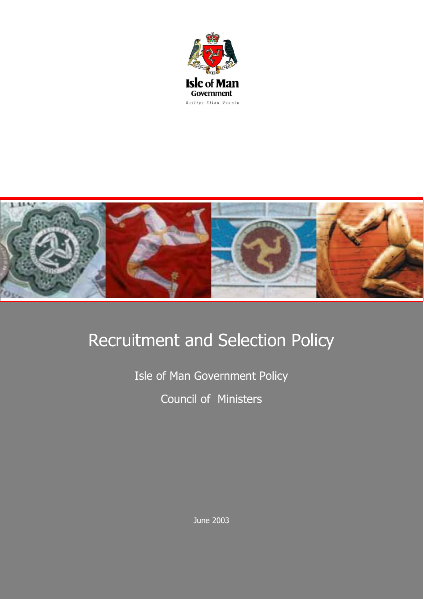



# Recruitment and Selection Policy

Isle of Man Government Policy Council of Ministers

June 2003